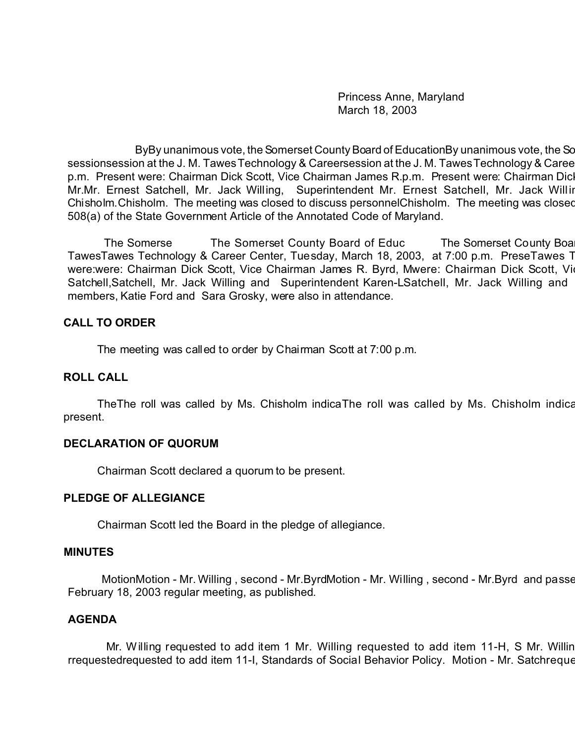Princess Anne, Maryland March 18, 2003

ByBy unanimous vote, the Somerset County Board of EducationBy unanimous vote, the Sc sessionsession at the J. M. Tawes Technology & Careersession at the J. M. Tawes Technology & Career Session at p.m. Present were: Chairman Dick Scott, Vice Chairman James R.p.m. Present were: Chairman Dicl Mr.Mr. Ernest Satchell, Mr. Jack Willing, Superintendent Mr. Ernest Satchell, Mr. Jack Willing, Mr. Ernest Satchell, Mr. Jack Willing, Superintendent Mr. Ernest Satchell, Mr. Jack Willing, Superintendent Mar. Chisholm. Chisholm. The meeting was closed to discuss personnelChisholm. The meeting was closed 508(a) of the State Government Article of the Annotated Code of Maryland.

The Somerse The Somerset County Board of Educ The Somerset County Board of Education met in a regular session met in a regular session met in a regular session at the Somerset County Board set in a regular session at the S TawesTawes Technology & Career Center, Tuesday, March 18, 2003, at 7:00 p.m. PreseTawes T were:were: Chairman Dick Scott, Vice Chairman James R. Byrd, Mwere: Chairman Dick Scott, Vice Satchell,Satchell, Mr. Jack Willing and Superintendent Karen-LSatchell, Mr. Jack Willing and members, Katie Ford and Sara Grosky, were also in attendance.

#### **CALL TO ORDER**

The meeting was called to order by Chairman Scott at 7:00 p.m.

#### **ROLL CALL**

The The roll was called by Ms. Chisholm indicaThe roll was called by Ms. Chisholm indication that all Board members were members were related by Ms. Chisholm indication members were were were all Board members were were we present.

### **DECLARATION OF QUORUM**

Chairman Scott declared a quorum to be present.

#### **PLEDGE OF ALLEGIANCE**

Chairman Scott led the Board in the pledge of allegiance.

#### **MINUTES**

MotionMotion - Mr. Willing , second - Mr.ByrdMotion - Mr. Willing , second - Mr.Byrd and passe February 18, 2003 regular meeting, as published.

### **AGENDA**

Mr. Willing requested to add item 1 Mr. Willing requested to add item 11-H, S Mr. Willin rrequestedrequested to add item 11-I, Standards of Social Behavior Policy. Motion - Mr. Satchreque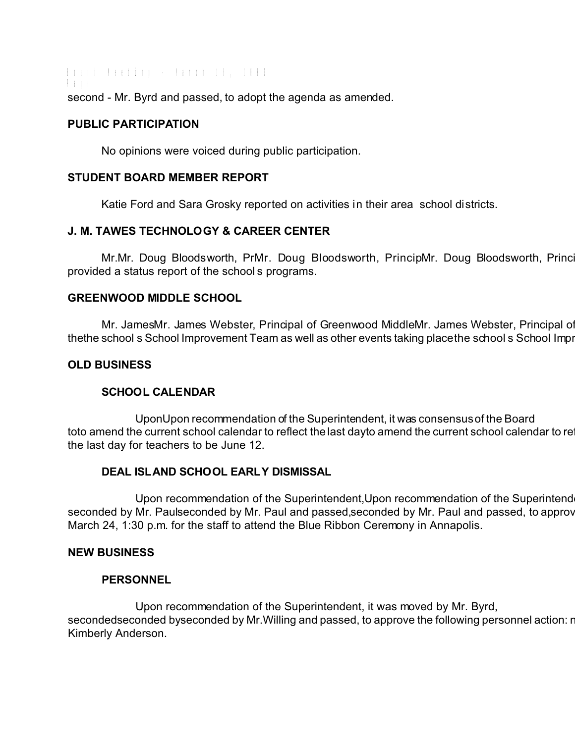Board Meeting - March 18, 2003 Page second - Mr. Byrd and passed, to adopt the agenda as amended.

#### **PUBLIC PARTICIPATION**

No opinions were voiced during public participation.

### **STUDENT BOARD MEMBER REPORT**

Katie Ford and Sara Grosky reported on activities in their area school districts.

# **J. M. TAWES TECHNOLOGY & CAREER CENTER**

Mr.Mr. Doug Bloodsworth, PrMr. Doug Bloodsworth, PrincipMr. Doug Bloodsworth, Princi provided a status report of the school s programs.

### **GREENWOOD MIDDLE SCHOOL**

Mr. JamesMr. James Webster, Principal of Greenwood MiddleMr. James Webster, Principal of thethe school s School Improvement Team as well as other events taking placethe school s School Improvement Team as well as other events taking place the school. School

## **OLD BUSINESS**

# **SCHOOL CALENDAR**

UponUpon recommendation of the Superintendent, it was consensus of the Board toto amend the current school calendar to reflect the last dayto amend the current school calendar to re the last day for teachers to be June 12.

# **DEAL ISLAND SCHOOL EARLY DISMISSAL**

Upon recommendation of the Superintendent, Upon recommendation of the Superintend seconded by Mr. Paulseconded by Mr. Paul and passed,seconded by Mr. Paul and passed, to approv March 24, 1:30 p.m. for the staff to attend the Blue Ribbon Ceremony in Annapolis.

### **NEW BUSINESS**

### **PERSONNEL**

Upon recommendation of the Superintendent, it was moved by Mr. Byrd, secondedseconded byseconded by Mr. Willing and passed, to approve the following personnel action: new Kimberly Anderson.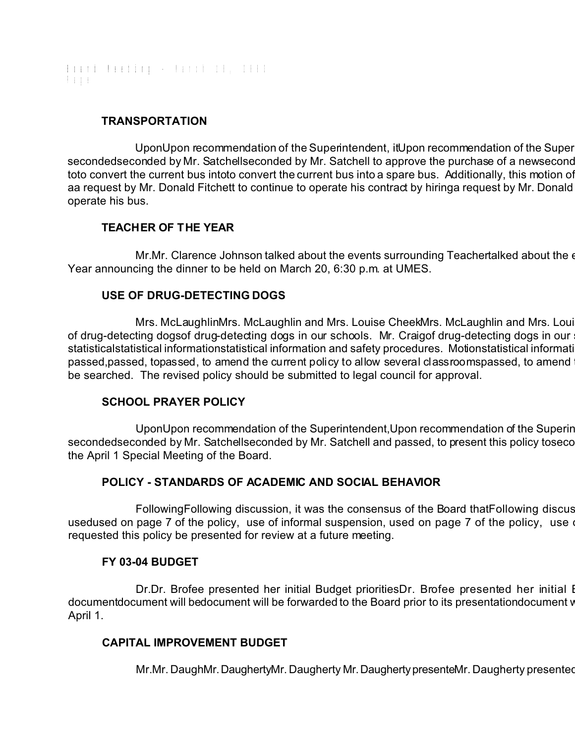Board Meeting - March 18, 2003 Page

## **TRANSPORTATION**

UponUpon recommendation of the Superintendent, it Upon recommendation of the Super secondedseconded by Mr. Satchellseconded by Mr. Satchell to approve the purchase of a new second toto convert the current bus intoto convert the current bus into a spare bus. Additionally, this motion of aa request by Mr. Donald Fitchett to continue to operate his contract by hiringa request by Mr. Donald operate his bus.

# **TEACHER OF THE YEAR**

Mr.Mr. Clarence Johnson talked about the events surrounding Teachertalked about the e Year announcing the dinner to be held on March 20, 6:30 p.m. at UMES.

# **USE OF DRUG-DETECTING DOGS**

Mrs. McLaughlinMrs. McLaughlin and Mrs. Louise CheekMrs. McLaughlin and Mrs. Loui of drug-detecting dogsof drug-detecting dogs in our schools. Mr. Craigof drug-detecting dogs in our statisticalstatistical informationstatistical information and safety procedures. Motionstatistical information passed,passed, topassed, to amend the current policy to allow several classroomspassed, to amend be searched. The revised policy should be submitted to legal council for approval.

### **SCHOOL PRAYER POLICY**

UponUpon recommendation of the Superintendent, Upon recommendation of the Superin secondedseconded by Mr. Satchellseconded by Mr. Satchell and passed, to present this policy to seconded seconded by Mr. the April 1 Special Meeting of the Board.

# **POLICY - STANDARDS OF ACADEMIC AND SOCIAL BEHAVIOR**

FollowingFollowing discussion, it was the consensus of the Board that Following discus usedused on page 7 of the policy, use of informal suspension, used on page 7 of the policy, use requested this policy be presented for review at a future meeting.

### **FY 03-04 BUDGET**

Dr.Dr. Brofee presented her initial Budget prioritiesDr. Brofee presented her initial I documentdocument will bedocument will be forwarded to the Board prior to its presentationdocument v April 1.

### **CAPITAL IMPROVEMENT BUDGET**

Mr.Mr. DaughMr. DaughertyMr. Daugherty Mr. Daugherty presenteMr. Daugherty presented